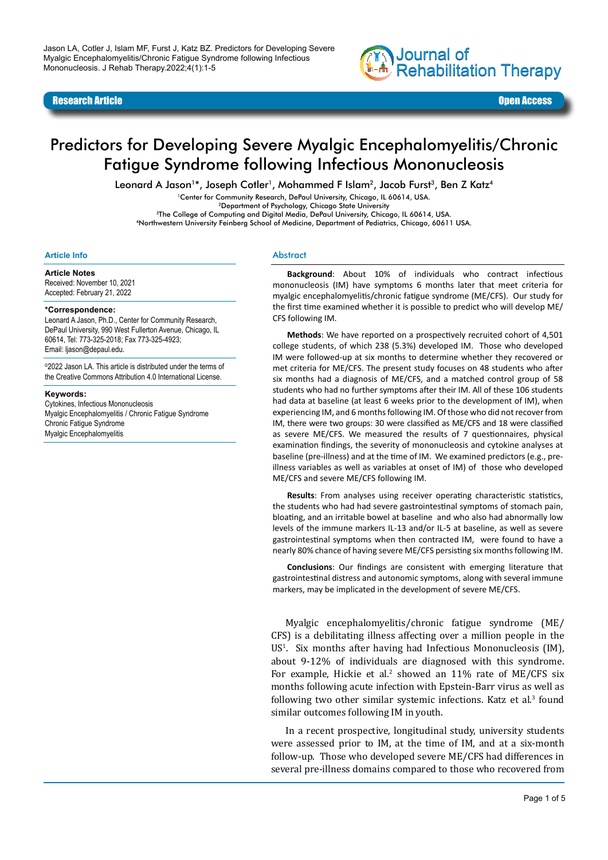

#### Research Article Open Access

# Predictors for Developing Severe Myalgic Encephalomyelitis/Chronic Fatigue Syndrome following Infectious Mononucleosis

Leonard A Jason<sup>1\*</sup>, Joseph Cotler<sup>1</sup>, Mohammed F Islam<sup>2</sup>, Jacob Furst<sup>3</sup>, Ben Z Katz<sup>4</sup>

<sup>1</sup>Center for Community Research, DePaul University, Chicago, IL 60614, USA.<br><sup>2</sup>Department of Psychology, Chicago State University<br><sup>3</sup>The College of Computing and Digital Media, DePaul University, Chicago, IL 60614, USA

<sup>4</sup>Northwestern University Feinberg School of Medicine, Department of Pediatrics, Chicago, 60611 USA.

#### **Article Info**

**Article Notes** Received: November 10, 2021 Accepted: February 21, 2022

#### **\*Correspondence:**

Leonard A Jason, Ph.D., Center for Community Research, DePaul University, 990 West Fullerton Avenue, Chicago, IL 60614, Tel: 773-325-2018; Fax 773-325-4923; Email: ljason@depaul.edu.

©2022 Jason LA. This article is distributed under the terms of the Creative Commons Attribution 4.0 International License.

#### **Keywords:**

Cytokines, Infectious Mononucleosis Myalgic Encephalomyelitis / Chronic Fatigue Syndrome Chronic Fatigue Syndrome Myalgic Encephalomyelitis

#### **Abstract**

**Background**: About 10% of individuals who contract infectious mononucleosis (IM) have symptoms 6 months later that meet criteria for myalgic encephalomyelitis/chronic fatigue syndrome (ME/CFS). Our study for the first time examined whether it is possible to predict who will develop ME/ CFS following IM.

**Methods**: We have reported on a prospectively recruited cohort of 4,501 college students, of which 238 (5.3%) developed IM. Those who developed IM were followed-up at six months to determine whether they recovered or met criteria for ME/CFS. The present study focuses on 48 students who after six months had a diagnosis of ME/CFS, and a matched control group of 58 students who had no further symptoms after their IM. All of these 106 students had data at baseline (at least 6 weeks prior to the development of IM), when experiencing IM, and 6 months following IM. Of those who did not recover from IM, there were two groups: 30 were classified as ME/CFS and 18 were classified as severe ME/CFS. We measured the results of 7 questionnaires, physical examination findings, the severity of mononucleosis and cytokine analyses at baseline (pre-illness) and at the time of IM. We examined predictors (e.g., preillness variables as well as variables at onset of IM) of those who developed ME/CFS and severe ME/CFS following IM.

**Results**: From analyses using receiver operating characteristic statistics, the students who had had severe gastrointestinal symptoms of stomach pain, bloating, and an irritable bowel at baseline and who also had abnormally low levels of the immune markers IL-13 and/or IL-5 at baseline, as well as severe gastrointestinal symptoms when then contracted IM, were found to have a nearly 80% chance of having severe ME/CFS persisting six months following IM.

**Conclusions**: Our findings are consistent with emerging literature that gastrointestinal distress and autonomic symptoms, along with several immune markers, may be implicated in the development of severe ME/CFS.

Myalgic encephalomyelitis/chronic fatigue syndrome (ME/ CFS) is a debilitating illness affecting over a million people in the US<sup>1</sup>. Six months after having had Infectious Mononucleosis (IM), about 9-12% of individuals are diagnosed with this syndrome. For example, Hickie et al.<sup>2</sup> showed an  $11\%$  rate of ME/CFS six months following acute infection with Epstein-Barr virus as well as following two other similar systemic infections. Katz et al.<sup>3</sup> found similar outcomes following IM in youth.

In a recent prospective, longitudinal study, university students were assessed prior to IM, at the time of IM, and at a six-month follow-up. Those who developed severe ME/CFS had differences in several pre-illness domains compared to those who recovered from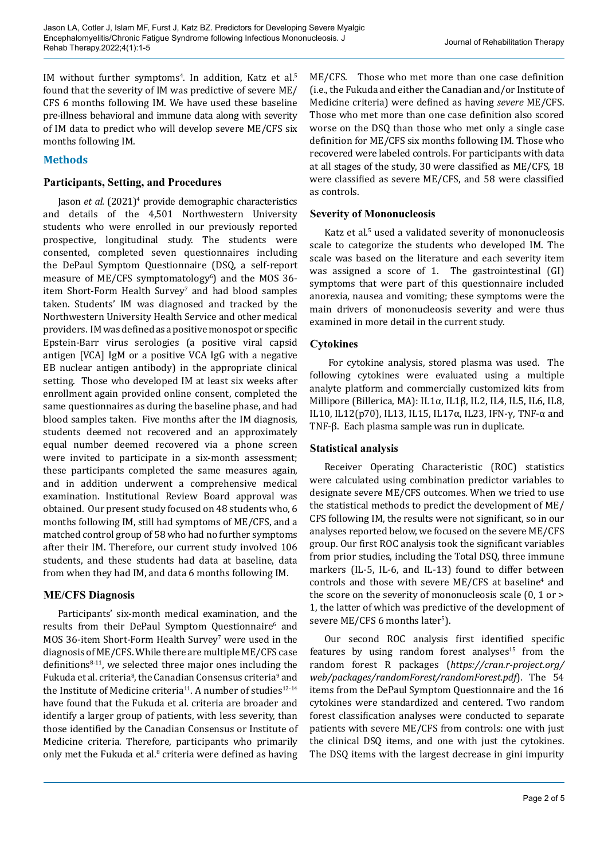$IM$  without further symptoms<sup>4</sup>. In addition, Katz et al.<sup>5</sup> found that the severity of IM was predictive of severe ME/ CFS 6 months following IM. We have used these baseline pre-illness behavioral and immune data along with severity of IM data to predict who will develop severe ME/CFS six months following IM.

# **Methods**

### **Participants, Setting, and Procedures**

Jason *et al.* (2021)<sup>4</sup> provide demographic characteristics and details of the 4,501 Northwestern University students who were enrolled in our previously reported prospective, longitudinal study. The students were consented, completed seven questionnaires including the DePaul Symptom Questionnaire (DSQ, a self-report measure of ME/CFS symptomatology<sup>6</sup>) and the MOS 36 $item$  Short-Form Health Survey $^{\prime}$  and had blood samples taken. Students' IM was diagnosed and tracked by the Northwestern University Health Service and other medical providers. IM was defined as a positive monospot or specific Epstein-Barr virus serologies (a positive viral capsid antigen [VCA] IgM or a positive VCA IgG with a negative EB nuclear antigen antibody) in the appropriate clinical setting. Those who developed IM at least six weeks after enrollment again provided online consent, completed the same questionnaires as during the baseline phase, and had blood samples taken. Five months after the IM diagnosis, students deemed not recovered and an approximately equal number deemed recovered via a phone screen were invited to participate in a six-month assessment; these participants completed the same measures again, and in addition underwent a comprehensive medical examination. Institutional Review Board approval was obtained. Our present study focused on 48 students who, 6 months following IM, still had symptoms of ME/CFS, and a matched control group of 58 who had no further symptoms after their IM. Therefore, our current study involved 106 students, and these students had data at baseline, data from when they had IM, and data 6 months following IM.

# **ME/CFS Diagnosis**

Participants' six-month medical examination, and the results from their DePaul Symptom Questionnaire<sup>6</sup> and MOS 36-item Short-Form Health Survey' were used in the diagnosis of ME/CFS. While there are multiple ME/CFS case definitions $8-11$ , we selected three major ones including the Fukuda et al. criteria<sup>8</sup>, the Canadian Consensus criteria<sup>9</sup> and the Institute of Medicine criteria<sup>11</sup>. A number of studies<sup>12-14</sup> have found that the Fukuda et al. criteria are broader and identify a larger group of patients, with less severity, than those identified by the Canadian Consensus or Institute of Medicine criteria. Therefore, participants who primarily only met the Fukuda et al.<sup>8</sup> criteria were defined as having ME/CFS. Those who met more than one case definition (i.e., the Fukuda and either the Canadian and/or Institute of Medicine criteria) were defined as having *severe* ME/CFS. Those who met more than one case definition also scored worse on the DSQ than those who met only a single case definition for ME/CFS six months following IM. Those who recovered were labeled controls. For participants with data at all stages of the study, 30 were classified as ME/CFS, 18 were classified as severe ME/CFS, and 58 were classified as controls.

## **Severity of Mononucleosis**

Katz et al.<sup>5</sup> used a validated severity of mononucleosis scale to categorize the students who developed IM. The scale was based on the literature and each severity item was assigned a score of 1. The gastrointestinal (GI) symptoms that were part of this questionnaire included anorexia, nausea and vomiting; these symptoms were the main drivers of mononucleosis severity and were thus examined in more detail in the current study.

## **Cytokines**

For cytokine analysis, stored plasma was used. The following cytokines were evaluated using a multiple analyte platform and commercially customized kits from Millipore (Billerica, MA): IL1α, IL1β, IL2, IL4, IL5, IL6, IL8, IL10, IL12(p70), IL13, IL15, IL17α, IL23, IFN-γ, TNF-α and TNF-β. Each plasma sample was run in duplicate.

### **Statistical analysis**

Receiver Operating Characteristic (ROC) statistics were calculated using combination predictor variables to designate severe ME/CFS outcomes. When we tried to use the statistical methods to predict the development of ME/ CFS following IM, the results were not significant, so in our analyses reported below, we focused on the severe ME/CFS group. Our first ROC analysis took the significant variables from prior studies, including the Total DSQ, three immune markers (IL-5, IL-6, and IL-13) found to differ between  $controls$  and those with severe ME/CFS at baseline<sup>4</sup> and the score on the severity of mononucleosis scale (0, 1 or > 1, the latter of which was predictive of the development of severe ME/CFS 6 months later<sup>5</sup>).

Our second ROC analysis first identified specific features by using random forest analyses<sup>15</sup> from the random forest R packages (*[https://cran.r-project.org/](https://cran.r-project.org/web/packages/randomForest/randomForest.pdf) [web/packages/randomForest/randomForest.pdf](https://cran.r-project.org/web/packages/randomForest/randomForest.pdf)*). The 54 items from the DePaul Symptom Questionnaire and the 16 cytokines were standardized and centered. Two random forest classification analyses were conducted to separate patients with severe ME/CFS from controls: one with just the clinical DSQ items, and one with just the cytokines. The DSQ items with the largest decrease in gini impurity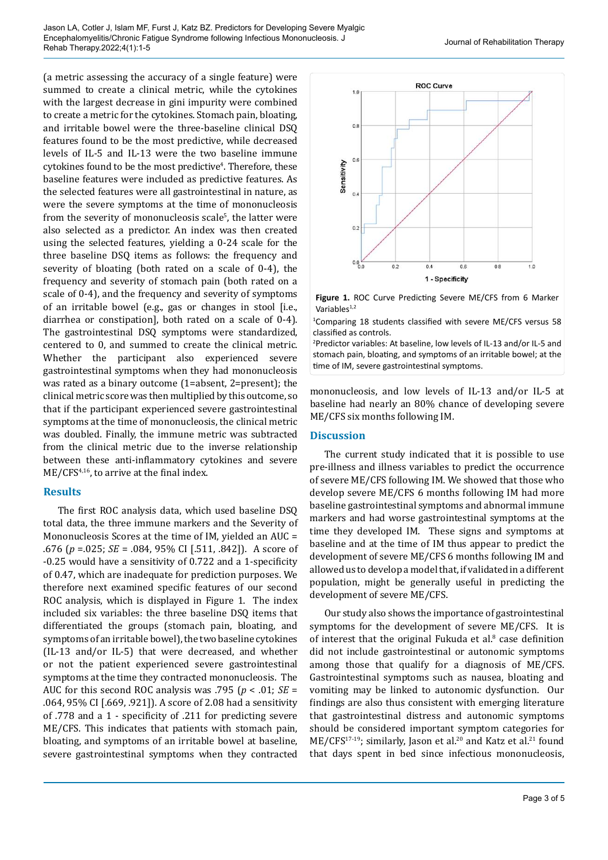(a metric assessing the accuracy of a single feature) were summed to create a clinical metric, while the cytokines with the largest decrease in gini impurity were combined to create a metric for the cytokines. Stomach pain, bloating, and irritable bowel were the three-baseline clinical DSQ features found to be the most predictive, while decreased levels of IL-5 and IL-13 were the two baseline immune cytokines found to be the most predictive<sup>4</sup>. Therefore, these baseline features were included as predictive features. As the selected features were all gastrointestinal in nature, as were the severe symptoms at the time of mononucleosis from the severity of mononucleosis scale<sup>5</sup>, the latter were also selected as a predictor. An index was then created using the selected features, yielding a 0-24 scale for the three baseline DSQ items as follows: the frequency and severity of bloating (both rated on a scale of 0-4), the frequency and severity of stomach pain (both rated on a scale of 0-4), and the frequency and severity of symptoms of an irritable bowel (e.g., gas or changes in stool [i.e., diarrhea or constipation], both rated on a scale of 0-4). The gastrointestinal DSQ symptoms were standardized, centered to 0, and summed to create the clinical metric. Whether the participant also experienced severe gastrointestinal symptoms when they had mononucleosis was rated as a binary outcome (1=absent, 2=present); the clinical metric score was then multiplied by this outcome, so that if the participant experienced severe gastrointestinal symptoms at the time of mononucleosis, the clinical metric was doubled. Finally, the immune metric was subtracted from the clinical metric due to the inverse relationship between these anti-inflammatory cytokines and severe ME/CFS<sup>4,16</sup>, to arrive at the final index.

### **Results**

The first ROC analysis data, which used baseline DSQ total data, the three immune markers and the Severity of Mononucleosis Scores at the time of IM, yielded an AUC = .676 (*p* =.025; *SE* = .084, 95% CI [.511, .842]). A score of -0.25 would have a sensitivity of 0.722 and a 1-specificity of 0.47, which are inadequate for prediction purposes. We therefore next examined specific features of our second ROC analysis, which is displayed in Figure 1. The index included six variables: the three baseline DSQ items that differentiated the groups (stomach pain, bloating, and symptoms of an irritable bowel), the two baseline cytokines (IL-13 and/or IL-5) that were decreased, and whether or not the patient experienced severe gastrointestinal symptoms at the time they contracted mononucleosis. The AUC for this second ROC analysis was .795 (*p* < .01; *SE* = .064, 95% CI [.669, .921]). A score of 2.08 had a sensitivity of .778 and a 1 - specificity of .211 for predicting severe ME/CFS. This indicates that patients with stomach pain, bloating, and symptoms of an irritable bowel at baseline, severe gastrointestinal symptoms when they contracted



**Figure 1.** ROC Curve Predicting Severe ME/CFS from 6 Marker Variables $1,2$ 

1 Comparing 18 students classified with severe ME/CFS versus 58 classified as controls.

2 Predictor variables: At baseline, low levels of IL-13 and/or IL-5 and stomach pain, bloating, and symptoms of an irritable bowel; at the time of IM, severe gastrointestinal symptoms.

mononucleosis, and low levels of IL-13 and/or IL-5 at baseline had nearly an 80% chance of developing severe ME/CFS six months following IM.

### **Discussion**

The current study indicated that it is possible to use pre-illness and illness variables to predict the occurrence of severe ME/CFS following IM. We showed that those who develop severe ME/CFS 6 months following IM had more baseline gastrointestinal symptoms and abnormal immune markers and had worse gastrointestinal symptoms at the time they developed IM. These signs and symptoms at baseline and at the time of IM thus appear to predict the development of severe ME/CFS 6 months following IM and allowed us to develop a model that, if validated in a different population, might be generally useful in predicting the development of severe ME/CFS.

Our study also shows the importance of gastrointestinal symptoms for the development of severe ME/CFS. It is of interest that the original Fukuda et al.<sup>8</sup> case definition did not include gastrointestinal or autonomic symptoms among those that qualify for a diagnosis of ME/CFS. Gastrointestinal symptoms such as nausea, bloating and vomiting may be linked to autonomic dysfunction. Our findings are also thus consistent with emerging literature that gastrointestinal distress and autonomic symptoms should be considered important symptom categories for ME/CFS<sup>17-19</sup>; similarly, Jason et al.<sup>20</sup> and Katz et al.<sup>21</sup> found that days spent in bed since infectious mononucleosis,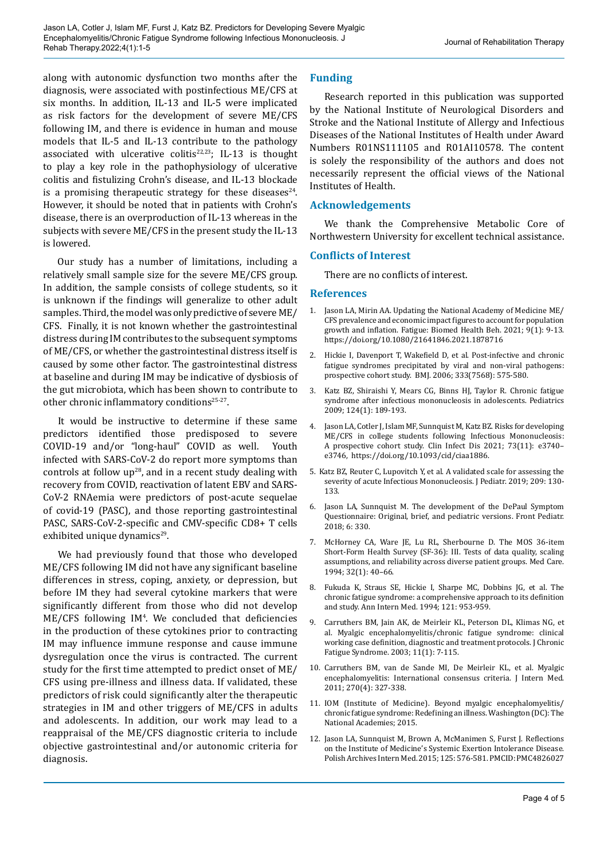along with autonomic dysfunction two months after the diagnosis, were associated with postinfectious ME/CFS at six months. In addition, IL-13 and IL-5 were implicated as risk factors for the development of severe ME/CFS following IM, and there is evidence in human and mouse models that IL-5 and IL-13 contribute to the pathology associated with ulcerative colitis<sup>22,23</sup>; IL-13 is thought to play a key role in the pathophysiology of ulcerative colitis and fistulizing Crohn's disease, and IL-13 blockade is a promising therapeutic strategy for these diseases<sup>24</sup>. However, it should be noted that in patients with Crohn's disease, there is an overproduction of IL-13 whereas in the subjects with severe ME/CFS in the present study the IL-13 is lowered.

Our study has a number of limitations, including a relatively small sample size for the severe ME/CFS group. In addition, the sample consists of college students, so it is unknown if the findings will generalize to other adult samples. Third, the model was only predictive of severe ME/ CFS. Finally, it is not known whether the gastrointestinal distress during IM contributes to the subsequent symptoms of ME/CFS, or whether the gastrointestinal distress itself is caused by some other factor. The gastrointestinal distress at baseline and during IM may be indicative of dysbiosis of the gut microbiota, which has been shown to contribute to other chronic inflammatory conditions<sup>25-27</sup>.

It would be instructive to determine if these same predictors identified those predisposed to severe COVID-19 and/or "long-haul" COVID as well. Youth infected with SARS-CoV-2 do report more symptoms than controls at follow  $up^{28}$ , and in a recent study dealing with recovery from COVID, reactivation of latent EBV and SARS-CoV-2 RNAemia were predictors of post-acute sequelae of covid-19 (PASC), and those reporting gastrointestinal PASC, SARS-CoV-2-specific and CMV-specific CD8+ T cells exhibited unique dynamics<sup>29</sup>.

We had previously found that those who developed ME/CFS following IM did not have any significant baseline differences in stress, coping, anxiety, or depression, but before IM they had several cytokine markers that were significantly different from those who did not develop ME/CFS following IM<sup>4</sup>. We concluded that deficiencies in the production of these cytokines prior to contracting IM may influence immune response and cause immune dysregulation once the virus is contracted. The current study for the first time attempted to predict onset of ME/ CFS using pre-illness and illness data. If validated, these predictors of risk could significantly alter the therapeutic strategies in IM and other triggers of ME/CFS in adults and adolescents. In addition, our work may lead to a reappraisal of the ME/CFS diagnostic criteria to include objective gastrointestinal and/or autonomic criteria for diagnosis.

### **Funding**

Research reported in this publication was supported by the National Institute of Neurological Disorders and Stroke and the National Institute of Allergy and Infectious Diseases of the National Institutes of Health under Award Numbers R01NS111105 and R01AI10578. The content is solely the responsibility of the authors and does not necessarily represent the official views of the National Institutes of Health.

### **Acknowledgements**

We thank the Comprehensive Metabolic Core of Northwestern University for excellent technical assistance.

#### **Conflicts of Interest**

There are no conflicts of interest.

#### **References**

- 1. Jason LA, Mirin AA. Updating the National Academy of Medicine ME/ CFS prevalence and economic impact figures to account for population growth and inflation. Fatigue: Biomed Health Beh. 2021; 9(1): 9-13. <https://doi.org/10.1080/21641846.2021.1878716>
- 2. Hickie I, Davenport T, Wakefield D, et al. Post-infective and chronic fatigue syndromes precipitated by viral and non-viral pathogens: prospective cohort study. BMJ. 2006; 333(7568): 575-580.
- 3. Katz BZ, Shiraishi Y, Mears CG, Binns HJ, Taylor R. Chronic fatigue syndrome after infectious mononucleosis in adolescents. Pediatrics 2009; 124(1): 189-193.
- 4. Jason LA, Cotler J, Islam MF, Sunnquist M, Katz BZ. Risks for developing ME/CFS in college students following Infectious Mononucleosis: A prospective cohort study. Clin Infect Dis 2021; 73(11): e3740– e3746, [https://doi.org/10.1093/cid/ciaa1886.](https://doi.org/10.1093/cid/ciaa1886)
- 5. Katz BZ, Reuter C, Lupovitch Y, et al. A validated scale for assessing the severity of acute Infectious Mononucleosis. J Pediatr. 2019; 209: 130- 133.
- 6. Jason LA, Sunnquist M. The development of the DePaul Symptom Questionnaire: Original, brief, and pediatric versions. Front Pediatr. 2018; 6: 330.
- 7. McHorney CA, Ware JE, Lu RL, Sherbourne D. The MOS 36-item Short-Form Health Survey (SF-36): III. Tests of data quality, scaling assumptions, and reliability across diverse patient groups. Med Care. 1994; 32(1): 40–66.
- 8. Fukuda K, Straus SE, Hickie I, Sharpe MC, Dobbins JG, et al. The chronic fatigue syndrome: a comprehensive approach to its definition and study. Ann Intern Med. 1994; 121: 953-959.
- 9. Carruthers BM, Jain AK, de Meirleir KL, Peterson DL, Klimas NG, et al. Myalgic encephalomyelitis/chronic fatigue syndrome: clinical working case definition, diagnostic and treatment protocols. J Chronic Fatigue Syndrome. 2003; 11(1): 7-115.
- 10. Carruthers BM, van de Sande MI, De Meirleir KL, et al. Myalgic encephalomyelitis: International consensus criteria. J Intern Med. 2011; 270(4): 327-338.
- 11. IOM (Institute of Medicine). Beyond myalgic encephalomyelitis/ chronic fatigue syndrome: Redefining an illness. Washington (DC): The National Academies; 2015.
- 12. Jason LA, Sunnquist M, Brown A, McManimen S, Furst J. Reflections on the Institute of Medicine's Systemic Exertion Intolerance Disease. Polish Archives Intern Med. 2015; 125: 576-581. PMCID:PMC4826027